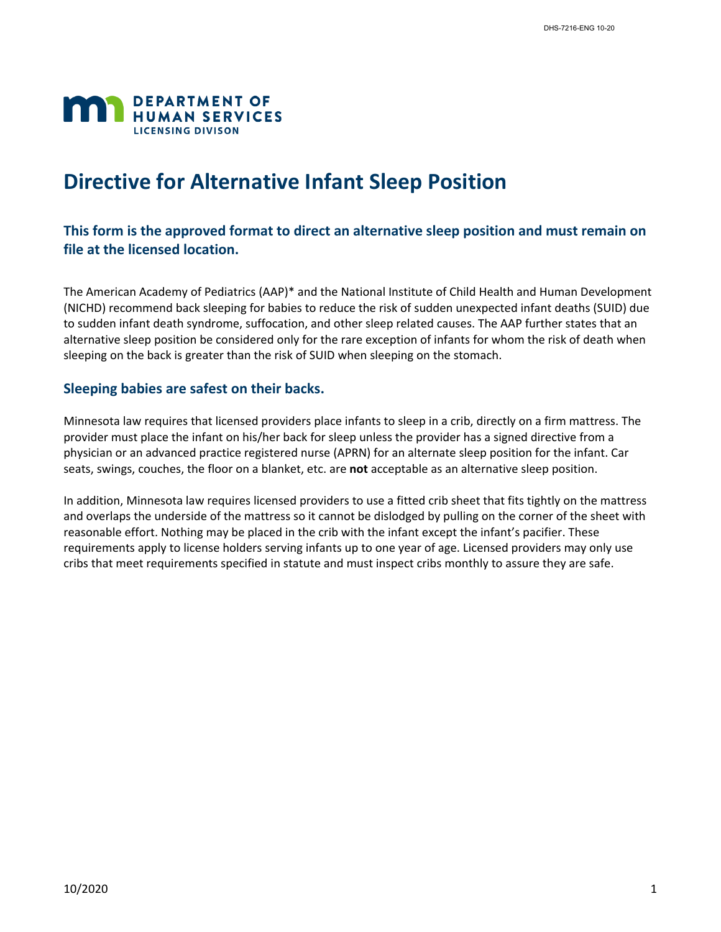

# **Directive for Alternative Infant Sleep Position**

## **This form is the approved format to direct an alternative sleep position and must remain on file at the licensed location.**

The American Academy of Pediatrics (AAP)\* and the National Institute of Child Health and Human Development (NICHD) recommend back sleeping for babies to reduce the risk of sudden unexpected infant deaths (SUID) due to sudden infant death syndrome, suffocation, and other sleep related causes. The AAP further states that an alternative sleep position be considered only for the rare exception of infants for whom the risk of death when sleeping on the back is greater than the risk of SUID when sleeping on the stomach.

#### **Sleeping babies are safest on their backs.**

Minnesota law requires that licensed providers place infants to sleep in a crib, directly on a firm mattress. The provider must place the infant on his/her back for sleep unless the provider has a signed directive from a physician or an advanced practice registered nurse (APRN) for an alternate sleep position for the infant. Car seats, swings, couches, the floor on a blanket, etc. are **not** acceptable as an alternative sleep position.

In addition, Minnesota law requires licensed providers to use a fitted crib sheet that fits tightly on the mattress and overlaps the underside of the mattress so it cannot be dislodged by pulling on the corner of the sheet with reasonable effort. Nothing may be placed in the crib with the infant except the infant's pacifier. These requirements apply to license holders serving infants up to one year of age. Licensed providers may only use cribs that meet requirements specified in statute and must inspect cribs monthly to assure they are safe.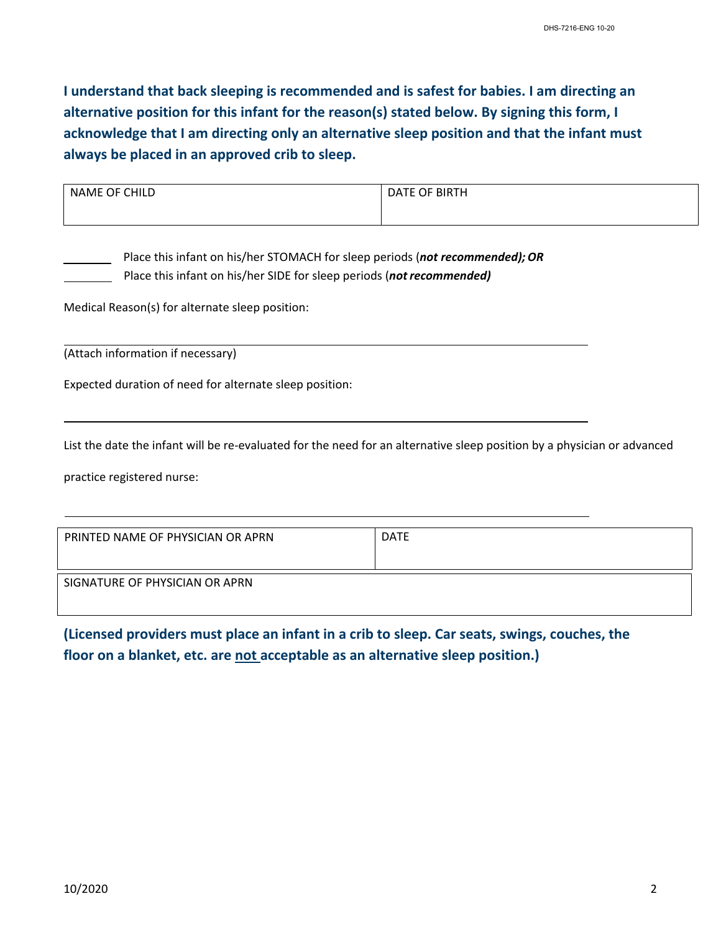**I understand that back sleeping is recommended and is safest for babies. I am directing an alternative position for this infant for the reason(s) stated below. By signing this form, I acknowledge that I am directing only an alternative sleep position and that the infant must always be placed in an approved crib to sleep.**

| ∩F<br>ECHIIT<br><b>NAME</b> | OF BIRTH<br>ıΛ |  |
|-----------------------------|----------------|--|
|                             |                |  |
|                             |                |  |

 Place this infant on his/her STOMACH for sleep periods (*not recommended);OR* Place this infant on his/her SIDE for sleep periods (*not recommended)*

Medical Reason(s) for alternate sleep position:

(Attach information if necessary)

Expected duration of need for alternate sleep position:

List the date the infant will be re-evaluated for the need for an alternative sleep position by a physician or advanced

practice registered nurse:

| PRINTED NAME OF PHYSICIAN OR APRN | <b>DATE</b> |
|-----------------------------------|-------------|
| SIGNATURE OF PHYSICIAN OR APRN    |             |

**(Licensed providers must place an infant in a crib to sleep. Car seats, swings, couches, the floor on a blanket, etc. are not acceptable as an alternative sleep position.)**